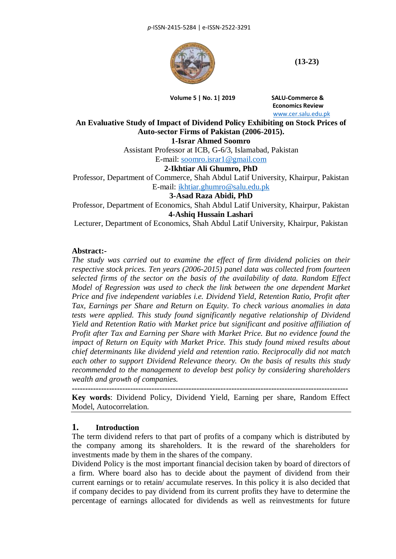

**(13-23)**

**Volume 5 | No. 1| 2019 SALU-Commerce &**

 **Economics Review** [www.cer.salu.edu.pk](http://www.cer.salu.edu.pk/)

**An Evaluative Study of Impact of Dividend Policy Exhibiting on Stock Prices of Auto-sector Firms of Pakistan (2006-2015).**

**1-Israr Ahmed Soomro**

Assistant Professor at ICB, G-6/3, Islamabad, Pakistan E-mail: [soomro.israr1@gmail.com](mailto:soomro.israr1@gmail.com)

**2-Ikhtiar Ali Ghumro, PhD**

Professor, Department of Commerce, Shah Abdul Latif University, Khairpur, Pakistan E-mail: [ikhtiar.ghumro@salu.edu.pk](mailto:ikhtiar.ghumro@salu.edu.pk)

**3-Asad Raza Abidi, PhD**

Professor, Department of Economics, Shah Abdul Latif University, Khairpur, Pakistan **4-Ashiq Hussain Lashari**

Lecturer, Department of Economics, Shah Abdul Latif University, Khairpur, Pakistan

## **Abstract:-**

*The study was carried out to examine the effect of firm dividend policies on their respective stock prices. Ten years (2006-2015) panel data was collected from fourteen selected firms of the sector on the basis of the availability of data. Random Effect Model of Regression was used to check the link between the one dependent Market Price and five independent variables i.e. Dividend Yield, Retention Ratio, Profit after Tax, Earnings per Share and Return on Equity. To check various anomalies in data tests were applied. This study found significantly negative relationship of Dividend Yield and Retention Ratio with Market price but significant and positive affiliation of Profit after Tax and Earning per Share with Market Price. But no evidence found the impact of Return on Equity with Market Price. This study found mixed results about chief determinants like dividend yield and retention ratio. Reciprocally did not match each other to support Dividend Relevance theory. On the basis of results this study recommended to the management to develop best policy by considering shareholders wealth and growth of companies.*

**--------------------------------------------------------------------------------------------------------**

**Key words**: Dividend Policy, Dividend Yield, Earning per share, Random Effect Model, Autocorrelation.

#### **1. Introduction**

The term dividend refers to that part of profits of a company which is distributed by the company among its shareholders. It is the reward of the shareholders for investments made by them in the shares of the company.

Dividend Policy is the most important financial decision taken by board of directors of a firm. Where board also has to decide about the payment of dividend from their current earnings or to retain/ accumulate reserves. In this policy it is also decided that if company decides to pay dividend from its current profits they have to determine the percentage of earnings allocated for dividends as well as reinvestments for future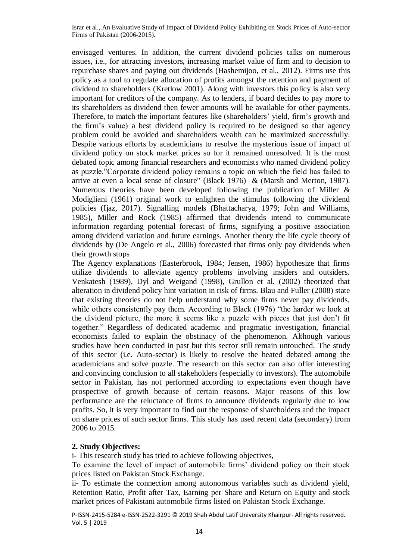envisaged ventures. In addition, the current dividend policies talks on numerous issues, i.e., for attracting investors, increasing market value of firm and to decision to repurchase shares and paying out dividends (Hashemijoo, et al., 2012). Firms use this policy as a tool to regulate allocation of profits amongst the retention and payment of dividend to shareholders (Kretlow 2001). Along with investors this policy is also very important for creditors of the company. As to lenders, if board decides to pay more to its shareholders as dividend then fewer amounts will be available for other payments. Therefore, to match the important features like (shareholders' yield, firm's growth and the firm's value) a best dividend policy is required to be designed so that agency problem could be avoided and shareholders wealth can be maximized successfully. Despite various efforts by academicians to resolve the mysterious issue of impact of dividend policy on stock market prices so for it remained unresolved. It is the most debated topic among financial researchers and economists who named dividend policy as puzzle."Corporate dividend policy remains a topic on which the field has failed to arrive at even a local sense of closure" (Black 1976) & (Marsh and Merton, 1987). Numerous theories have been developed following the publication of Miller & Modigliani (1961) original work to enlighten the stimulus following the dividend policies (Ijaz, 2017). Signalling models (Bhattacharya, 1979; John and Williams, 1985), Miller and Rock (1985) affirmed that dividends intend to communicate information regarding potential forecast of firms, signifying a positive association among dividend variation and future earnings. Another theory the life cycle theory of dividends by (De Angelo et al., 2006) forecasted that firms only pay dividends when their growth stops

The Agency explanations (Easterbrook, 1984; Jensen, 1986) hypothesize that firms utilize dividends to alleviate agency problems involving insiders and outsiders. Venkatesh (1989), Dyl and Weigand (1998), Grullon et al. (2002) theorized that alteration in dividend policy hint variation in risk of firms. Blau and Fuller (2008) state that existing theories do not help understand why some firms never pay dividends, while others consistently pay them. According to Black (1976) "the harder we look at the dividend picture, the more it seems like a puzzle with pieces that just don't fit together." Regardless of dedicated academic and pragmatic investigation, financial economists failed to explain the obstinacy of the phenomenon. Although various studies have been conducted in past but this sector still remain untouched. The study of this sector (i.e. Auto-sector) is likely to resolve the heated debated among the academicians and solve puzzle. The research on this sector can also offer interesting and convincing conclusion to all stakeholders (especially to investors). The automobile sector in Pakistan, has not performed according to expectations even though have prospective of growth because of certain reasons. Major reasons of this low performance are the reluctance of firms to announce dividends regularly due to low profits. So, it is very important to find out the response of shareholders and the impact on share prices of such sector firms. This study has used recent data (secondary) from 2006 to 2015.

#### **2. Study Objectives:**

i- This research study has tried to achieve following objectives,

To examine the level of impact of automobile firms' dividend policy on their stock prices listed on Pakistan Stock Exchange.

ii- To estimate the connection among autonomous variables such as dividend yield, Retention Ratio, Profit after Tax, Earning per Share and Return on Equity and stock market prices of Pakistani automobile firms listed on Pakistan Stock Exchange.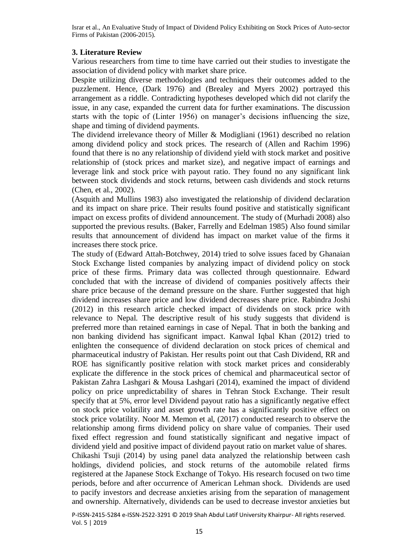#### **3. Literature Review**

Various researchers from time to time have carried out their studies to investigate the association of dividend policy with market share price.

Despite utilizing diverse methodologies and techniques their outcomes added to the puzzlement. Hence, (Dark 1976) and (Brealey and Myers 2002) portrayed this arrangement as a riddle. Contradicting hypotheses developed which did not clarify the issue, in any case, expanded the current data for further examinations. The discussion starts with the topic of (Linter 1956) on manager's decisions influencing the size, shape and timing of dividend payments.

The dividend irrelevance theory of Miller & Modigliani (1961) described no relation among dividend policy and stock prices. The research of (Allen and Rachim 1996) found that there is no any relationship of dividend yield with stock market and positive relationship of (stock prices and market size), and negative impact of earnings and leverage link and stock price with payout ratio. They found no any significant link between stock dividends and stock returns, between cash dividends and stock returns (Chen, et al., 2002).

(Asquith and Mullins 1983) also investigated the relationship of dividend declaration and its impact on share price. Their results found positive and statistically significant impact on excess profits of dividend announcement. The study of (Murhadi 2008) also supported the previous results. (Baker, Farrelly and Edelman 1985) Also found similar results that announcement of dividend has impact on market value of the firms it increases there stock price.

The study of (Edward Attah-Botchwey, 2014) tried to solve issues faced by Ghanaian Stock Exchange listed companies by analyzing impact of dividend policy on stock price of these firms. Primary data was collected through questionnaire. Edward concluded that with the increase of dividend of companies positively affects their share price because of the demand pressure on the share. Further suggested that high dividend increases share price and low dividend decreases share price. Rabindra Joshi (2012) in this research article checked impact of dividends on stock price with relevance to Nepal. The descriptive result of his study suggests that dividend is preferred more than retained earnings in case of Nepal. That in both the banking and non banking dividend has significant impact. Kanwal Iqbal Khan (2012) tried to enlighten the consequence of dividend declaration on stock prices of chemical and pharmaceutical industry of Pakistan. Her results point out that Cash Dividend, RR and ROE has significantly positive relation with stock market prices and considerably explicate the difference in the stock prices of chemical and pharmaceutical sector of Pakistan Zahra Lashgari & Mousa Lashgari (2014), examined the impact of dividend policy on price unpredictability of shares in Tehran Stock Exchange. Their result specify that at 5%, error level Dividend payout ratio has a significantly negative effect on stock price volatility and asset growth rate has a significantly positive effect on stock price volatility. Noor M. Memon et al, (2017) conducted research to observe the relationship among firms dividend policy on share value of companies. Their used fixed effect regression and found statistically significant and negative impact of dividend yield and positive impact of dividend payout ratio on market value of shares. Chikashi Tsuji (2014) by using panel data analyzed the relationship between cash holdings, dividend policies, and stock returns of the automobile related firms registered at the Japanese Stock Exchange of Tokyo. His research focused on two time periods, before and after occurrence of American Lehman shock. Dividends are used to pacify investors and decrease anxieties arising from the separation of management and ownership. Alternatively, dividends can be used to decrease investor anxieties but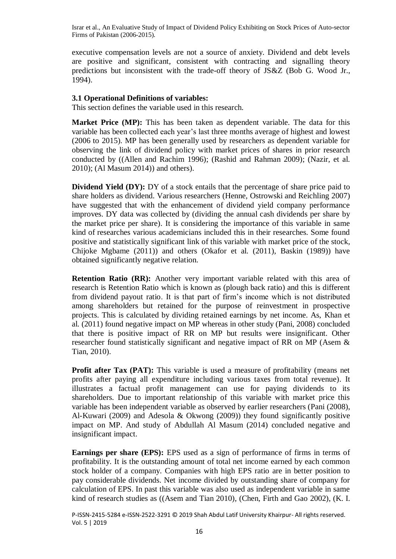executive compensation levels are not a source of anxiety. Dividend and debt levels are positive and significant, consistent with contracting and signalling theory predictions but inconsistent with the trade-off theory of JS&Z (Bob G. Wood Jr., 1994).

#### **3.1 Operational Definitions of variables:**

This section defines the variable used in this research.

**Market Price (MP):** This has been taken as dependent variable. The data for this variable has been collected each year's last three months average of highest and lowest (2006 to 2015). MP has been generally used by researchers as dependent variable for observing the link of dividend policy with market prices of shares in prior research conducted by ((Allen and Rachim 1996); (Rashid and Rahman 2009); (Nazir, et al. 2010); (Al Masum 2014)) and others).

**Dividend Yield (DY):** DY of a stock entails that the percentage of share price paid to share holders as dividend. Various researchers (Henne, Ostrowski and Reichling 2007) have suggested that with the enhancement of dividend yield company performance improves. DY data was collected by (dividing the annual cash dividends per share by the market price per share). It is considering the importance of this variable in same kind of researches various academicians included this in their researches. Some found positive and statistically significant link of this variable with market price of the stock, Chijoke Mgbame (2011)) and others (Okafor et al. (2011), Baskin (1989)) have obtained significantly negative relation.

**Retention Ratio (RR):** Another very important variable related with this area of research is Retention Ratio which is known as (plough back ratio) and this is different from dividend payout ratio. It is that part of firm's income which is not distributed among shareholders but retained for the purpose of reinvestment in prospective projects. This is calculated by dividing retained earnings by net income. As, Khan et al. (2011) found negative impact on MP whereas in other study (Pani, 2008) concluded that there is positive impact of RR on MP but results were insignificant. Other researcher found statistically significant and negative impact of RR on MP (Asem & Tian, 2010).

**Profit after Tax (PAT):** This variable is used a measure of profitability (means net profits after paying all expenditure including various taxes from total revenue). It illustrates a factual profit management can use for paying dividends to its shareholders. Due to important relationship of this variable with market price this variable has been independent variable as observed by earlier researchers (Pani (2008), Al-Kuwari (2009) and Adesola & Okwong (2009)) they found significantly positive impact on MP. And study of Abdullah Al Masum (2014) concluded negative and insignificant impact.

**Earnings per share (EPS):** EPS used as a sign of performance of firms in terms of profitability. It is the outstanding amount of total net income earned by each common stock holder of a company. Companies with high EPS ratio are in better position to pay considerable dividends. Net income divided by outstanding share of company for calculation of EPS. In past this variable was also used as independent variable in same kind of research studies as ((Asem and Tian 2010), (Chen, Firth and Gao 2002), (K. I.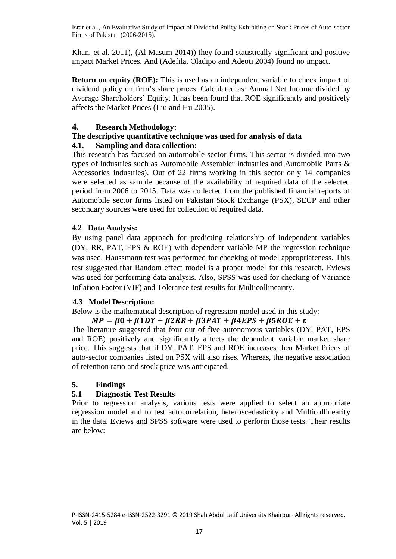Khan, et al. 2011), (Al Masum 2014)) they found statistically significant and positive impact Market Prices. And (Adefila, Oladipo and Adeoti 2004) found no impact.

**Return on equity (ROE):** This is used as an independent variable to check impact of dividend policy on firm's share prices. Calculated as: Annual Net Income divided by Average Shareholders' Equity. It has been found that ROE significantly and positively affects the Market Prices (Liu and Hu 2005).

## **4. Research Methodology:**

# **The descriptive quantitative technique was used for analysis of data**

## **4.1. Sampling and data collection:**

This research has focused on automobile sector firms. This sector is divided into two types of industries such as Automobile Assembler industries and Automobile Parts & Accessories industries). Out of 22 firms working in this sector only 14 companies were selected as sample because of the availability of required data of the selected period from 2006 to 2015. Data was collected from the published financial reports of Automobile sector firms listed on Pakistan Stock Exchange (PSX), SECP and other secondary sources were used for collection of required data.

# **4.2 Data Analysis:**

By using panel data approach for predicting relationship of independent variables (DY, RR, PAT, EPS & ROE) with dependent variable MP the regression technique was used. Haussmann test was performed for checking of model appropriateness. This test suggested that Random effect model is a proper model for this research. Eviews was used for performing data analysis. Also, SPSS was used for checking of Variance Inflation Factor (VIF) and Tolerance test results for Multicollinearity.

#### **4.3 Model Description:**

Below is the mathematical description of regression model used in this study:

# $MP = \beta 0 + \beta 1DY + \beta 2RR + \beta 3PATH + \beta 4EPS + \beta 5ROE + \varepsilon$

The literature suggested that four out of five autonomous variables (DY, PAT, EPS and ROE) positively and significantly affects the dependent variable market share price. This suggests that if DY, PAT, EPS and ROE increases then Market Prices of auto-sector companies listed on PSX will also rises. Whereas, the negative association of retention ratio and stock price was anticipated.

# **5. Findings**

# **5.1 Diagnostic Test Results**

Prior to regression analysis, various tests were applied to select an appropriate regression model and to test autocorrelation, heteroscedasticity and Multicollinearity in the data. Eviews and SPSS software were used to perform those tests. Their results are below: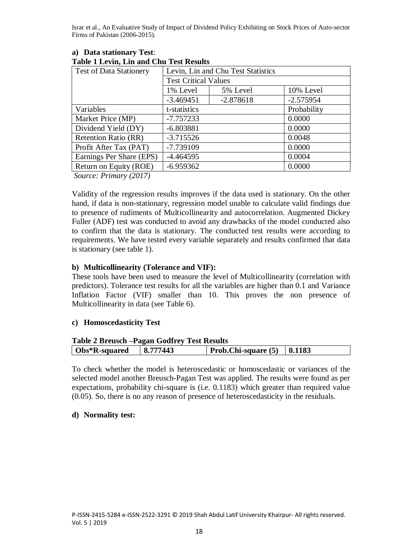| Tuble I Letting Lini and Cha Test Results |                                    |             |             |  |  |
|-------------------------------------------|------------------------------------|-------------|-------------|--|--|
| <b>Test of Data Stationery</b>            | Levin, Lin and Chu Test Statistics |             |             |  |  |
|                                           | <b>Test Critical Values</b>        |             |             |  |  |
|                                           | 1% Level                           | 5% Level    | 10% Level   |  |  |
|                                           | $-3.469451$                        | $-2.878618$ | $-2.575954$ |  |  |
| Variables                                 | t-statistics                       |             | Probability |  |  |
| Market Price (MP)                         | $-7.757233$                        | 0.0000      |             |  |  |
| Dividend Yield (DY)                       | $-6.803881$                        |             | 0.0000      |  |  |
| <b>Retention Ratio (RR)</b>               | $-3.715526$                        |             | 0.0048      |  |  |
| Profit After Tax (PAT)                    | $-7.739109$                        |             | 0.0000      |  |  |
| Earnings Per Share (EPS)                  | $-4.464595$                        |             | 0.0004      |  |  |
| Return on Equity (ROE)                    | $-6.959362$                        |             | 0.0000      |  |  |
|                                           |                                    |             |             |  |  |

#### **a) Data stationary Test**: **Table 1 Levin, Lin and Chu Test Results**

*Source: Primary (2017)*

Validity of the regression results improves if the data used is stationary. On the other hand, if data is non-stationary, regression model unable to calculate valid findings due to presence of rudiments of Multicollinearity and autocorrelation. Augmented Dickey Fuller (ADF) test was conducted to avoid any drawbacks of the model conducted also to confirm that the data is stationary. The conducted test results were according to requirements. We have tested every variable separately and results confirmed that data is stationary (see table 1).

## **b) Multicollinearity (Tolerance and VIF):**

These tools have been used to measure the level of Multicollinearity (correlation with predictors). Tolerance test results for all the variables are higher than 0.1 and Variance Inflation Factor (VIF) smaller than 10. This proves the non presence of Multicollinearity in data (see Table 6).

# **c) Homoscedasticity Test**

| <b>Table 2 Breusch – Pagan Godfrey Test Results</b> |          |                                |  |  |  |
|-----------------------------------------------------|----------|--------------------------------|--|--|--|
| Obs*R-squared                                       | 8.777443 | Prob.Chi-square $(5)$   0.1183 |  |  |  |

To check whether the model is heteroscedastic or homoscedastic or variances of the selected model another Breusch-Pagan Test was applied. The results were found as per expectations, probability chi-square is (i.e. 0.1183) which greater than required value (0.05). So, there is no any reason of presence of heteroscedasticity in the residuals.

#### **d) Normality test:**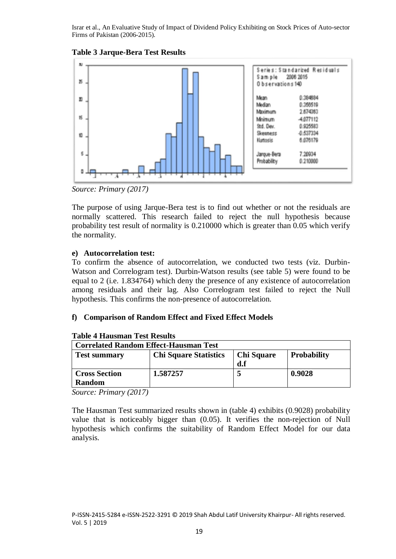



*Source: Primary (2017)*

The purpose of using Jarque-Bera test is to find out whether or not the residuals are normally scattered. This research failed to reject the null hypothesis because probability test result of normality is 0.210000 which is greater than 0.05 which verify the normality.

# **e) Autocorrelation test:**

To confirm the absence of autocorrelation, we conducted two tests (viz. Durbin-Watson and Correlogram test). Durbin-Watson results (see table 5) were found to be equal to 2 (i.e. 1.834764) which deny the presence of any existence of autocorrelation among residuals and their lag. Also Correlogram test failed to reject the Null hypothesis. This confirms the non-presence of autocorrelation.

# **f) Comparison of Random Effect and Fixed Effect Models**

| <b>Correlated Random Effect-Hausman Test</b> |                              |                   |                    |  |
|----------------------------------------------|------------------------------|-------------------|--------------------|--|
| <b>Test summary</b>                          | <b>Chi Square Statistics</b> | <b>Chi Square</b> | <b>Probability</b> |  |
|                                              |                              | d.f               |                    |  |
| <b>Cross Section</b>                         | 1.587257                     |                   | 0.9028             |  |
| <b>Random</b>                                |                              |                   |                    |  |

#### **Table 4 Hausman Test Results**

*Source: Primary (2017)*

The Hausman Test summarized results shown in (table 4) exhibits (0.9028) probability value that is noticeably bigger than (0.05). It verifies the non-rejection of Null hypothesis which confirms the suitability of Random Effect Model for our data analysis.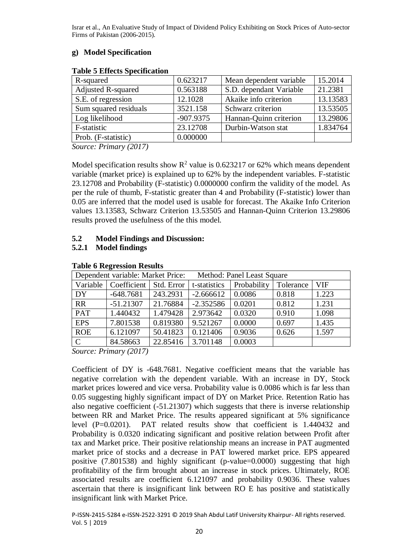# **g) Model Specification**

| Table & Effects Specification |             |                         |          |
|-------------------------------|-------------|-------------------------|----------|
| R-squared                     | 0.623217    | Mean dependent variable | 15.2014  |
| <b>Adjusted R-squared</b>     | 0.563188    | S.D. dependant Variable | 21.2381  |
| S.E. of regression            | 12.1028     | Akaike info criterion   | 13.13583 |
| Sum squared residuals         | 3521.158    | Schwarz criterion       | 13.53505 |
| Log likelihood                | $-907.9375$ | Hannan-Quinn criterion  | 13.29806 |
| F-statistic                   | 23.12708    | Durbin-Watson stat      | 1.834764 |
| Prob. (F-statistic)           | 0.000000    |                         |          |
|                               |             |                         |          |

#### **Table 5 Effects Specification**

*Source: Primary (2017)*

Model specification results show  $R^2$  value is 0.623217 or 62% which means dependent variable (market price) is explained up to 62% by the independent variables. F-statistic 23.12708 and Probability (F-statistic) 0.0000000 confirm the validity of the model. As per the rule of thumb, F-statistic greater than 4 and Probability (F-statistic) lower than 0.05 are inferred that the model used is usable for forecast. The Akaike Info Criterion values 13.13583, Schwarz Criterion 13.53505 and Hannan-Quinn Criterion 13.29806 results proved the usefulness of the this model.

# **5.2 Model Findings and Discussion:**

# **5.2.1 Model findings**

| Dependent variable: Market Price: |                                     |          | Method: Panel Least Square |             |           |            |
|-----------------------------------|-------------------------------------|----------|----------------------------|-------------|-----------|------------|
|                                   | Variable   Coefficient   Std. Error |          | t-statistics               | Probability | Tolerance | <b>VIF</b> |
| DY                                | $-648.7681$                         | 243.2931 | $-2.666612$                | 0.0086      | 0.818     | 1.223      |
| $\overline{RR}$                   | $-51.21307$                         | 21.76884 | $-2.352586$                | 0.0201      | 0.812     | 1.231      |
| <b>PAT</b>                        | 1.440432                            | 1.479428 | 2.973642                   | 0.0320      | 0.910     | 1.098      |
| <b>EPS</b>                        | 7.801538                            | 0.819380 | 9.521267                   | 0.0000      | 0.697     | 1.435      |
| <b>ROE</b>                        | 6.121097                            | 50.41823 | 0.121406                   | 0.9036      | 0.626     | 1.597      |
| $\overline{C}$                    | 84.58663                            | 22.85416 | 3.701148                   | 0.0003      |           |            |

#### **Table 6 Regression Results**

*Source: Primary (2017)*

Coefficient of DY is -648.7681. Negative coefficient means that the variable has negative correlation with the dependent variable. With an increase in DY, Stock market prices lowered and vice versa. Probability value is 0.0086 which is far less than 0.05 suggesting highly significant impact of DY on Market Price. Retention Ratio has also negative coefficient (-51.21307) which suggests that there is inverse relationship between RR and Market Price. The results appeared significant at 5% significance level (P=0.0201). PAT related results show that coefficient is 1.440432 and Probability is 0.0320 indicating significant and positive relation between Profit after tax and Market price. Their positive relationship means an increase in PAT augmented market price of stocks and a decrease in PAT lowered market price. EPS appeared positive (7.801538) and highly significant (p-value=0.0000) suggesting that high profitability of the firm brought about an increase in stock prices. Ultimately, ROE associated results are coefficient 6.121097 and probability 0.9036. These values ascertain that there is insignificant link between RO E has positive and statistically insignificant link with Market Price.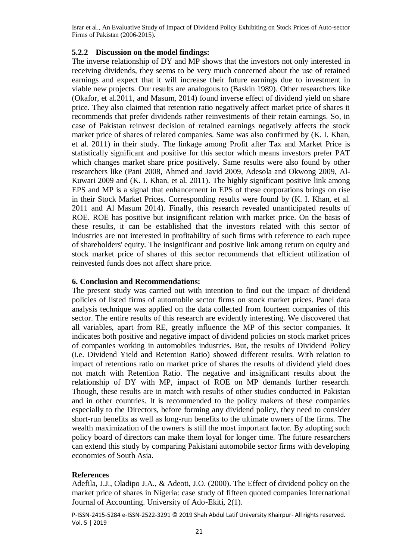## **5.2.2 Discussion on the model findings:**

The inverse relationship of DY and MP shows that the investors not only interested in receiving dividends, they seems to be very much concerned about the use of retained earnings and expect that it will increase their future earnings due to investment in viable new projects. Our results are analogous to (Baskin 1989). Other researchers like (Okafor, et al.2011, and Masum, 2014) found inverse effect of dividend yield on share price. They also claimed that retention ratio negatively affect market price of shares it recommends that prefer dividends rather reinvestments of their retain earnings. So, in case of Pakistan reinvest decision of retained earnings negatively affects the stock market price of shares of related companies. Same was also confirmed by (K. I. Khan, et al. 2011) in their study. The linkage among Profit after Tax and Market Price is statistically significant and positive for this sector which means investors prefer PAT which changes market share price positively. Same results were also found by other researchers like (Pani 2008, Ahmed and Javid 2009, Adesola and Okwong 2009, Al-Kuwari 2009 and (K. I. Khan, et al. 2011). The highly significant positive link among EPS and MP is a signal that enhancement in EPS of these corporations brings on rise in their Stock Market Prices. Corresponding results were found by (K. I. Khan, et al. 2011 and Al Masum 2014). Finally, this research revealed unanticipated results of ROE. ROE has positive but insignificant relation with market price. On the basis of these results, it can be established that the investors related with this sector of industries are not interested in profitability of such firms with reference to each rupee of shareholders' equity. The insignificant and positive link among return on equity and stock market price of shares of this sector recommends that efficient utilization of reinvested funds does not affect share price.

#### **6. Conclusion and Recommendations:**

The present study was carried out with intention to find out the impact of dividend policies of listed firms of automobile sector firms on stock market prices. Panel data analysis technique was applied on the data collected from fourteen companies of this sector. The entire results of this research are evidently interesting. We discovered that all variables, apart from RE, greatly influence the MP of this sector companies. It indicates both positive and negative impact of dividend policies on stock market prices of companies working in automobiles industries. But, the results of Dividend Policy (i.e. Dividend Yield and Retention Ratio) showed different results. With relation to impact of retentions ratio on market price of shares the results of dividend yield does not match with Retention Ratio. The negative and insignificant results about the relationship of DY with MP, impact of ROE on MP demands further research. Though, these results are in match with results of other studies conducted in Pakistan and in other countries. It is recommended to the policy makers of these companies especially to the Directors, before forming any dividend policy, they need to consider short-run benefits as well as long-run benefits to the ultimate owners of the firms. The wealth maximization of the owners is still the most important factor. By adopting such policy board of directors can make them loyal for longer time. The future researchers can extend this study by comparing Pakistani automobile sector firms with developing economies of South Asia.

# **References**

Adefila, J.J., Oladipo J.A., & Adeoti, J.O. (2000). The Effect of dividend policy on the market price of shares in Nigeria: case study of fifteen quoted companies International Journal of Accounting. University of Ado-Ekiti, 2(1).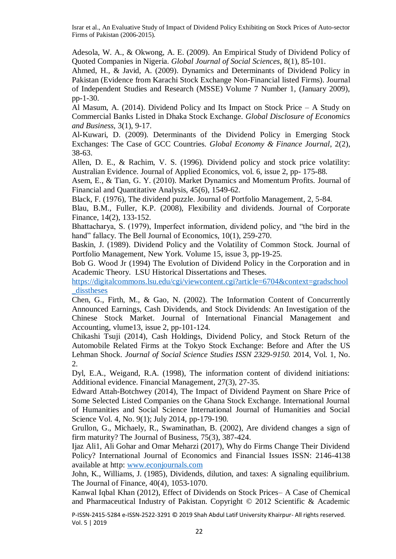Adesola, W. A., & Okwong, A. E. (2009). An Empirical Study of Dividend Policy of Quoted Companies in Nigeria. *Global Journal of Social Sciences*, 8(1), 85-101.

Ahmed, H., & Javid, A. (2009). Dynamics and Determinants of Dividend Policy in Pakistan (Evidence from Karachi Stock Exchange Non-Financial listed Firms). Journal of Independent Studies and Research (MSSE) Volume 7 Number 1, (January 2009), pp-1-30.

Al Masum, A. (2014). Dividend Policy and Its Impact on Stock Price – A Study on Commercial Banks Listed in Dhaka Stock Exchange. *Global Disclosure of Economics and Business,* 3(1), 9-17.

Al-Kuwari, D. (2009). Determinants of the Dividend Policy in Emerging Stock Exchanges: The Case of GCC Countries. *Global Economy & Finance Journal*, 2(2), 38-63.

Allen, D. E., & Rachim, V. S. (1996). Dividend policy and stock price volatility: Australian Evidence. Journal of Applied Economics, vol. 6, issue 2, pp- 175-88.

Asem, E., & Tian, G. Y. (2010). Market Dynamics and Momentum Profits. Journal of Financial and Quantitative Analysis, 45(6), 1549-62.

Black, F. (1976), The dividend puzzle. Journal of Portfolio Management, 2, 5-84.

Blau, B.M., Fuller, K.P. (2008), Flexibility and dividends. Journal of Corporate Finance, 14(2), 133-152.

Bhattacharya, S. (1979), Imperfect information, dividend policy, and "the bird in the hand" fallacy. The Bell Journal of Economics, 10(1), 259-270.

Baskin, J. (1989). Dividend Policy and the Volatility of Common Stock. Journal of Portfolio Management, New York. Volume 15, issue 3, pp-19-25.

Bob G. Wood Jr (1994) The Evolution of Dividend Policy in the Corporation and in Academic Theory. LSU Historical Dissertations and Theses.

[https://digitalcommons.lsu.edu/cgi/viewcontent.cgi?article=6704&context=gradschool](https://digitalcommons.lsu.edu/cgi/viewcontent.cgi?article=6704&context=gradschool_disstheses) disstheses

Chen, G., Firth, M., & Gao, N. (2002). The Information Content of Concurrently Announced Earnings, Cash Dividends, and Stock Dividends: An Investigation of the Chinese Stock Market. Journal of International Financial Management and Accounting, vlume13, issue 2, pp-101-124.

Chikashi Tsuji (2014), Cash Holdings, Dividend Policy, and Stock Return of the Automobile Related Firms at the Tokyo Stock Exchange: Before and After the US Lehman Shock. *Journal of Social Science Studies ISSN 2329-9150.* 2014, Vol. 1, No. 2.

Dyl, E.A., Weigand, R.A. (1998), The information content of dividend initiations: Additional evidence. Financial Management, 27(3), 27-35.

Edward Attah-Botchwey (2014), The Impact of Dividend Payment on Share Price of Some Selected Listed Companies on the Ghana Stock Exchange. International Journal of Humanities and Social Science International Journal of Humanities and Social Science Vol. 4, No. 9(1); July 2014, pp-179-190.

Grullon, G., Michaely, R., Swaminathan, B. (2002), Are dividend changes a sign of firm maturity? The Journal of Business, 75(3), 387-424.

Ijaz Ali1, Ali Gohar and Omar Meharzi (2017), Why do Firms Change Their Dividend Policy? International Journal of Economics and Financial Issues ISSN: 2146-4138 available at http: [www.econjournals.com](http://www.econjournals.com/)

John, K., Williams, J. (1985), Dividends, dilution, and taxes: A signaling equilibrium. The Journal of Finance, 40(4), 1053-1070.

Kanwal Iqbal Khan (2012), Effect of Dividends on Stock Prices– A Case of Chemical and Pharmaceutical Industry of Pakistan. Copyright © 2012 Scientific & Academic